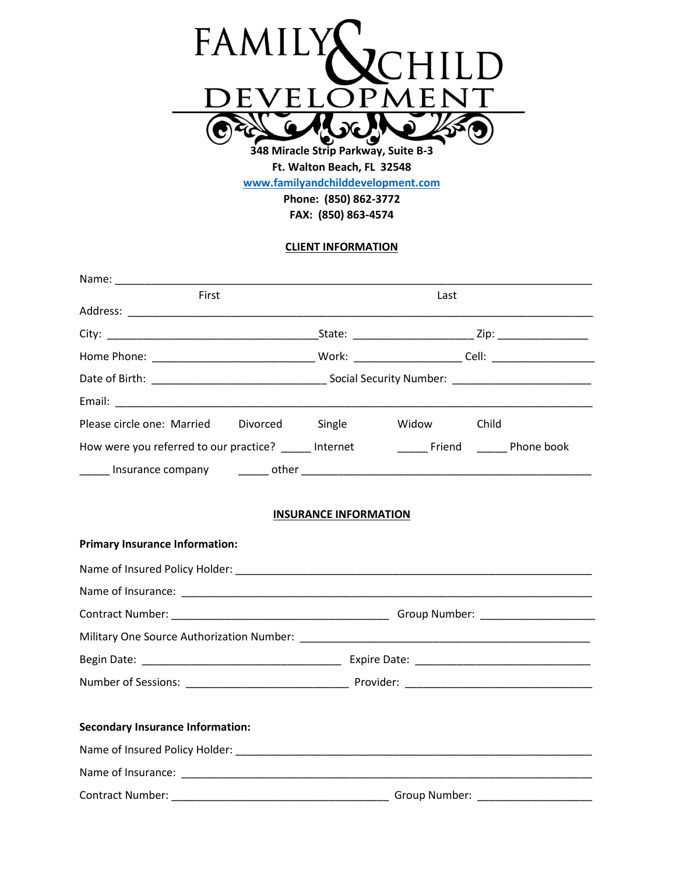

**[www.familyandchilddevelopment.com](http://www.familyandchilddevelopment.com/)**

**Phone: (850) 862-3772 FAX: (850) 863-4574**

# **CLIENT INFORMATION**

| First                                      | Last                         |                |  |  |
|--------------------------------------------|------------------------------|----------------|--|--|
|                                            |                              |                |  |  |
|                                            |                              |                |  |  |
|                                            |                              |                |  |  |
|                                            |                              |                |  |  |
|                                            |                              |                |  |  |
| Please circle one: Married Divorced Single |                              | Widow<br>Child |  |  |
|                                            |                              |                |  |  |
|                                            |                              |                |  |  |
|                                            |                              |                |  |  |
|                                            | <b>INSURANCE INFORMATION</b> |                |  |  |
| <b>Primary Insurance Information:</b>      |                              |                |  |  |
|                                            |                              |                |  |  |
|                                            |                              |                |  |  |
|                                            |                              |                |  |  |
|                                            |                              |                |  |  |
|                                            |                              |                |  |  |
|                                            |                              |                |  |  |
| <b>Secondary Insurance Information:</b>    |                              |                |  |  |
|                                            |                              |                |  |  |
|                                            |                              |                |  |  |
|                                            |                              |                |  |  |
| <b>Contract Number:</b>                    |                              | Group Number:  |  |  |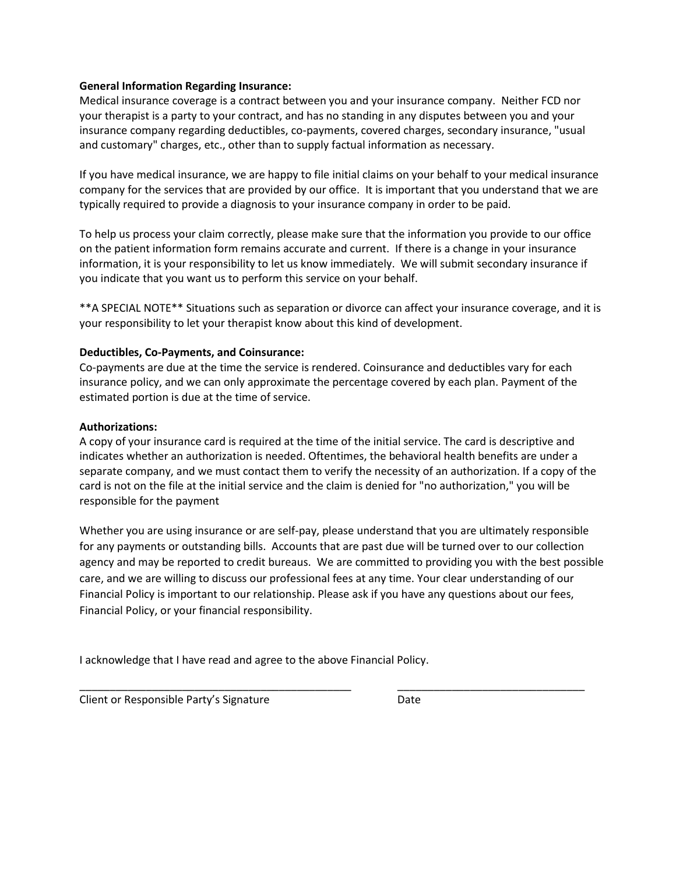### **General Information Regarding Insurance:**

Medical insurance coverage is a contract between you and your insurance company. Neither FCD nor your therapist is a party to your contract, and has no standing in any disputes between you and your insurance company regarding deductibles, co-payments, covered charges, secondary insurance, "usual and customary" charges, etc., other than to supply factual information as necessary.

If you have medical insurance, we are happy to file initial claims on your behalf to your medical insurance company for the services that are provided by our office. It is important that you understand that we are typically required to provide a diagnosis to your insurance company in order to be paid.

To help us process your claim correctly, please make sure that the information you provide to our office on the patient information form remains accurate and current. If there is a change in your insurance information, it is your responsibility to let us know immediately. We will submit secondary insurance if you indicate that you want us to perform this service on your behalf.

\*\*A SPECIAL NOTE\*\* Situations such as separation or divorce can affect your insurance coverage, and it is your responsibility to let your therapist know about this kind of development.

## **Deductibles, Co-Payments, and Coinsurance:**

Co-payments are due at the time the service is rendered. Coinsurance and deductibles vary for each insurance policy, and we can only approximate the percentage covered by each plan. Payment of the estimated portion is due at the time of service.

### **Authorizations:**

A copy of your insurance card is required at the time of the initial service. The card is descriptive and indicates whether an authorization is needed. Oftentimes, the behavioral health benefits are under a separate company, and we must contact them to verify the necessity of an authorization. If a copy of the card is not on the file at the initial service and the claim is denied for "no authorization," you will be responsible for the payment

Whether you are using insurance or are self-pay, please understand that you are ultimately responsible for any payments or outstanding bills. Accounts that are past due will be turned over to our collection agency and may be reported to credit bureaus. We are committed to providing you with the best possible care, and we are willing to discuss our professional fees at any time. Your clear understanding of our Financial Policy is important to our relationship. Please ask if you have any questions about our fees, Financial Policy, or your financial responsibility.

\_\_\_\_\_\_\_\_\_\_\_\_\_\_\_\_\_\_\_\_\_\_\_\_\_\_\_\_\_\_\_\_\_\_\_\_\_\_\_\_\_\_\_\_\_ \_\_\_\_\_\_\_\_\_\_\_\_\_\_\_\_\_\_\_\_\_\_\_\_\_\_\_\_\_\_\_

I acknowledge that I have read and agree to the above Financial Policy.

Client or Responsible Party's Signature **Date** Date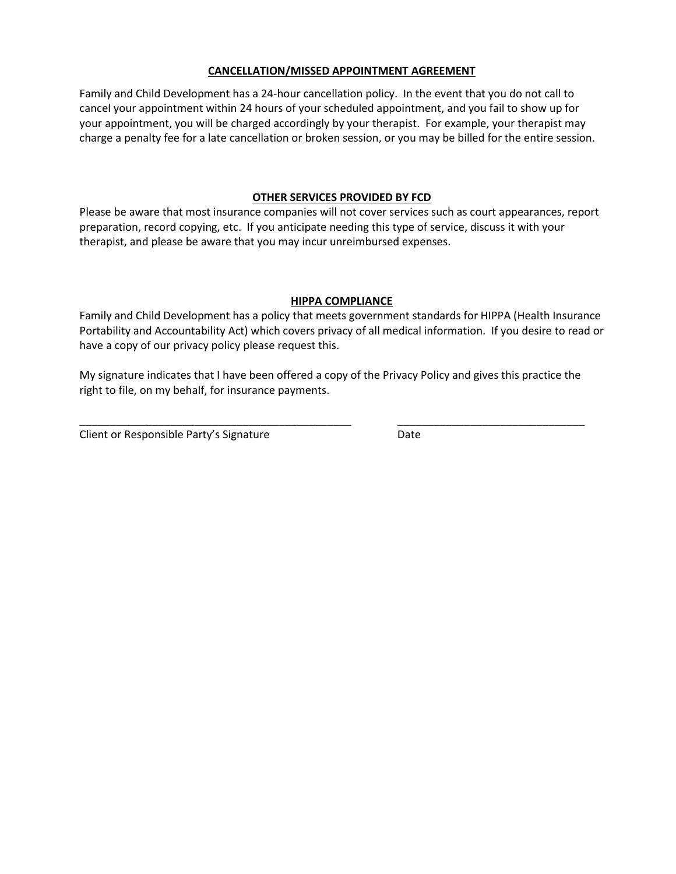#### **CANCELLATION/MISSED APPOINTMENT AGREEMENT**

Family and Child Development has a 24-hour cancellation policy. In the event that you do not call to cancel your appointment within 24 hours of your scheduled appointment, and you fail to show up for your appointment, you will be charged accordingly by your therapist. For example, your therapist may charge a penalty fee for a late cancellation or broken session, or you may be billed for the entire session.

#### **OTHER SERVICES PROVIDED BY FCD**

Please be aware that most insurance companies will not cover services such as court appearances, report preparation, record copying, etc. If you anticipate needing this type of service, discuss it with your therapist, and please be aware that you may incur unreimbursed expenses.

#### **HIPPA COMPLIANCE**

Family and Child Development has a policy that meets government standards for HIPPA (Health Insurance Portability and Accountability Act) which covers privacy of all medical information. If you desire to read or have a copy of our privacy policy please request this.

My signature indicates that I have been offered a copy of the Privacy Policy and gives this practice the right to file, on my behalf, for insurance payments.

\_\_\_\_\_\_\_\_\_\_\_\_\_\_\_\_\_\_\_\_\_\_\_\_\_\_\_\_\_\_\_\_\_\_\_\_\_\_\_\_\_\_\_\_\_ \_\_\_\_\_\_\_\_\_\_\_\_\_\_\_\_\_\_\_\_\_\_\_\_\_\_\_\_\_\_\_

Client or Responsible Party's Signature **Date** Date